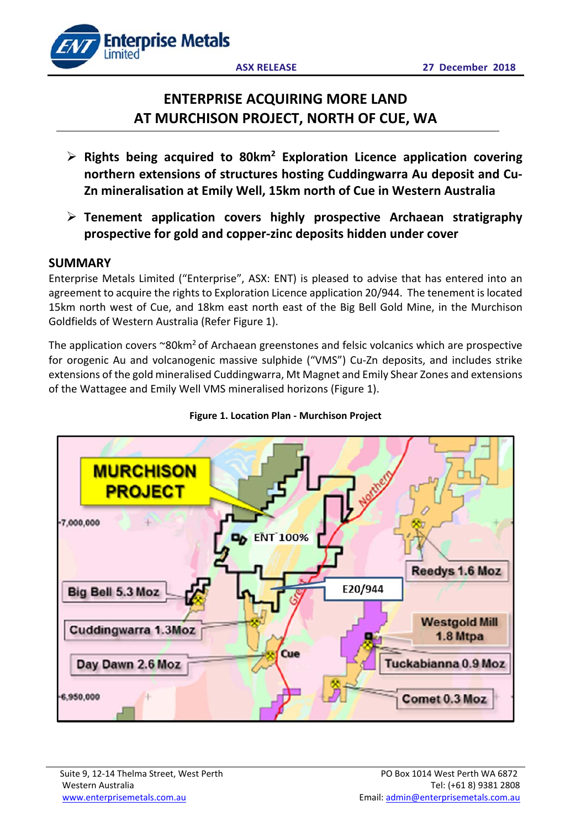

# **ENTERPRISE ACQUIRING MORE LAND AT MURCHISON PROJECT, NORTH OF CUE, WA**

- **Rights being acquired to 80km2 Exploration Licence application covering northern extensions of structures hosting Cuddingwarra Au deposit and Cu‐ Zn mineralisation at Emily Well, 15km north of Cue in Western Australia**
- **Tenement application covers highly prospective Archaean stratigraphy prospective for gold and copper‐zinc deposits hidden under cover**

## **SUMMARY**

Enterprise Metals Limited ("Enterprise", ASX: ENT) is pleased to advise that has entered into an agreement to acquire the rights to Exploration Licence application 20/944. The tenement is located 15km north west of Cue, and 18km east north east of the Big Bell Gold Mine, in the Murchison Goldfields of Western Australia (Refer Figure 1).

The application covers  $\sim 80 \text{km}^2$  of Archaean greenstones and felsic volcanics which are prospective for orogenic Au and volcanogenic massive sulphide ("VMS") Cu-Zn deposits, and includes strike extensions of the gold mineralised Cuddingwarra, Mt Magnet and Emily Shear Zones and extensions of the Wattagee and Emily Well VMS mineralised horizons (Figure 1).



### **Figure 1. Location Plan ‐ Murchison Project**